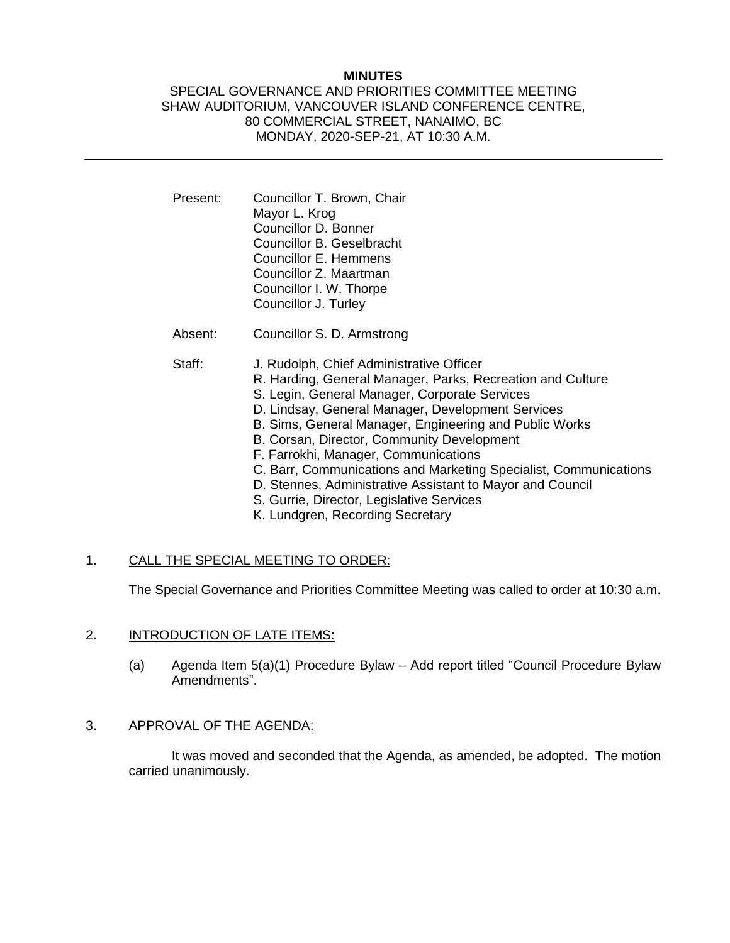### **MINUTES**

### SPECIAL GOVERNANCE AND PRIORITIES COMMITTEE MEETING SHAW AUDITORIUM, VANCOUVER ISLAND CONFERENCE CENTRE, 80 COMMERCIAL STREET, NANAIMO, BC MONDAY, 2020-SEP-21, AT 10:30 A.M.

- Present: Councillor T. Brown, Chair Mayor L. Krog Councillor D. Bonner Councillor B. Geselbracht Councillor E. Hemmens Councillor Z. Maartman Councillor I. W. Thorpe Councillor J. Turley
- Absent: Councillor S. D. Armstrong
- 
- Staff: **J. Rudolph, Chief Administrative Officer** 
	- R. Harding, General Manager, Parks, Recreation and Culture
	- S. Legin, General Manager, Corporate Services
	- D. Lindsay, General Manager, Development Services
	- B. Sims, General Manager, Engineering and Public Works
	- B. Corsan, Director, Community Development
	- F. Farrokhi, Manager, Communications
	- C. Barr, Communications and Marketing Specialist, Communications
	- D. Stennes, Administrative Assistant to Mayor and Council
	- S. Gurrie, Director, Legislative Services
	- K. Lundgren, Recording Secretary

# 1. CALL THE SPECIAL MEETING TO ORDER:

The Special Governance and Priorities Committee Meeting was called to order at 10:30 a.m.

# 2. INTRODUCTION OF LATE ITEMS:

(a) Agenda Item 5(a)(1) Procedure Bylaw – Add report titled "Council Procedure Bylaw Amendments".

# 3. APPROVAL OF THE AGENDA:

It was moved and seconded that the Agenda, as amended, be adopted. The motion carried unanimously.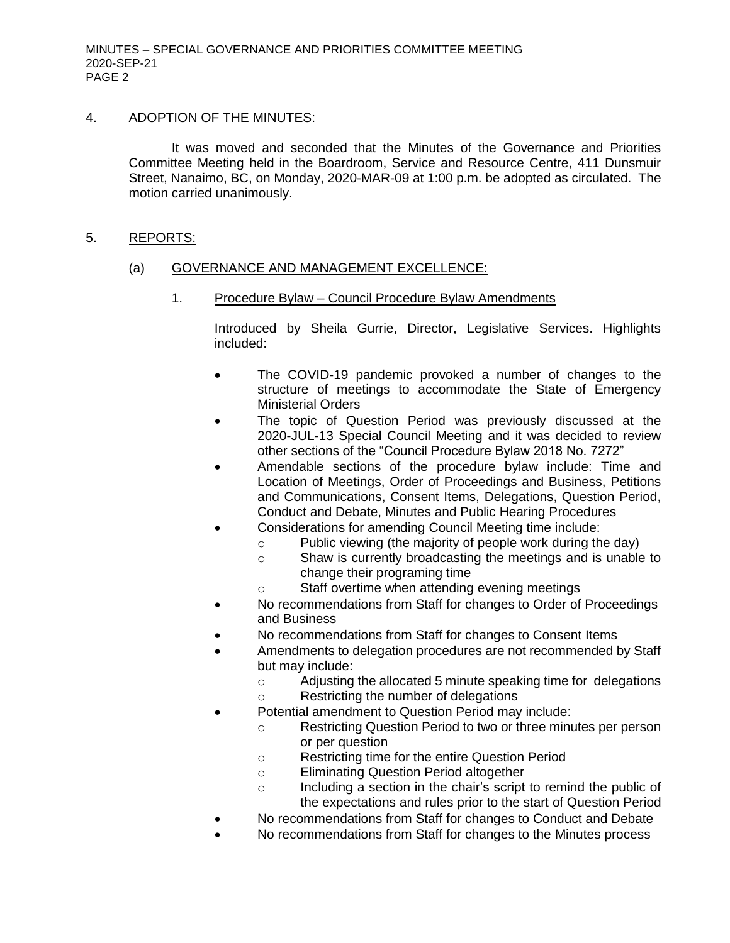### 4. ADOPTION OF THE MINUTES:

It was moved and seconded that the Minutes of the Governance and Priorities Committee Meeting held in the Boardroom, Service and Resource Centre, 411 Dunsmuir Street, Nanaimo, BC, on Monday, 2020-MAR-09 at 1:00 p.m. be adopted as circulated. The motion carried unanimously.

### 5. REPORTS:

# (a) GOVERNANCE AND MANAGEMENT EXCELLENCE:

1. Procedure Bylaw – Council Procedure Bylaw Amendments

Introduced by Sheila Gurrie, Director, Legislative Services. Highlights included:

- The COVID-19 pandemic provoked a number of changes to the structure of meetings to accommodate the State of Emergency Ministerial Orders
- The topic of Question Period was previously discussed at the 2020-JUL-13 Special Council Meeting and it was decided to review other sections of the "Council Procedure Bylaw 2018 No. 7272"
- Amendable sections of the procedure bylaw include: Time and Location of Meetings, Order of Proceedings and Business, Petitions and Communications, Consent Items, Delegations, Question Period, Conduct and Debate, Minutes and Public Hearing Procedures
- Considerations for amending Council Meeting time include:
	- o Public viewing (the majority of people work during the day)
	- o Shaw is currently broadcasting the meetings and is unable to change their programing time
	- o Staff overtime when attending evening meetings
- No recommendations from Staff for changes to Order of Proceedings and Business
- No recommendations from Staff for changes to Consent Items
- Amendments to delegation procedures are not recommended by Staff but may include:
	- o Adjusting the allocated 5 minute speaking time for delegations
	- o Restricting the number of delegations
- Potential amendment to Question Period may include:
	- o Restricting Question Period to two or three minutes per person or per question
	- o Restricting time for the entire Question Period
	- o Eliminating Question Period altogether
	- o Including a section in the chair's script to remind the public of the expectations and rules prior to the start of Question Period
- No recommendations from Staff for changes to Conduct and Debate
- No recommendations from Staff for changes to the Minutes process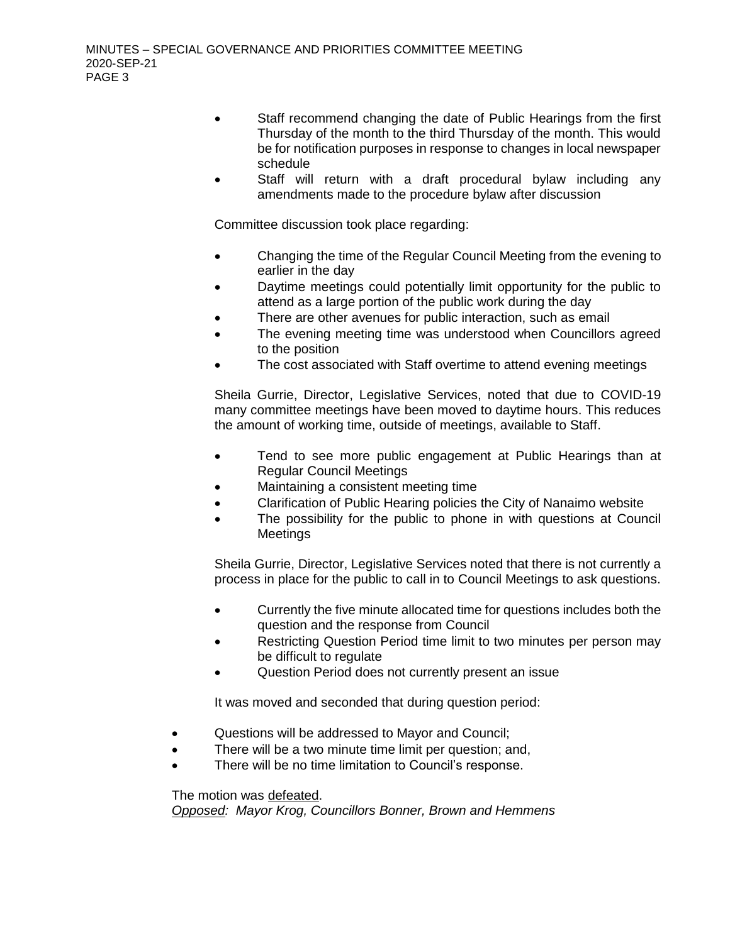- Staff recommend changing the date of Public Hearings from the first Thursday of the month to the third Thursday of the month. This would be for notification purposes in response to changes in local newspaper schedule
- Staff will return with a draft procedural bylaw including any amendments made to the procedure bylaw after discussion

Committee discussion took place regarding:

- Changing the time of the Regular Council Meeting from the evening to earlier in the day
- Daytime meetings could potentially limit opportunity for the public to attend as a large portion of the public work during the day
- There are other avenues for public interaction, such as email
- The evening meeting time was understood when Councillors agreed to the position
- The cost associated with Staff overtime to attend evening meetings

Sheila Gurrie, Director, Legislative Services, noted that due to COVID-19 many committee meetings have been moved to daytime hours. This reduces the amount of working time, outside of meetings, available to Staff.

- Tend to see more public engagement at Public Hearings than at Regular Council Meetings
- Maintaining a consistent meeting time
- Clarification of Public Hearing policies the City of Nanaimo website
- The possibility for the public to phone in with questions at Council **Meetings**

Sheila Gurrie, Director, Legislative Services noted that there is not currently a process in place for the public to call in to Council Meetings to ask questions.

- Currently the five minute allocated time for questions includes both the question and the response from Council
- Restricting Question Period time limit to two minutes per person may be difficult to regulate
- Question Period does not currently present an issue

It was moved and seconded that during question period:

- Questions will be addressed to Mayor and Council;
- There will be a two minute time limit per question; and,
- There will be no time limitation to Council's response.

The motion was defeated.

*Opposed: Mayor Krog, Councillors Bonner, Brown and Hemmens*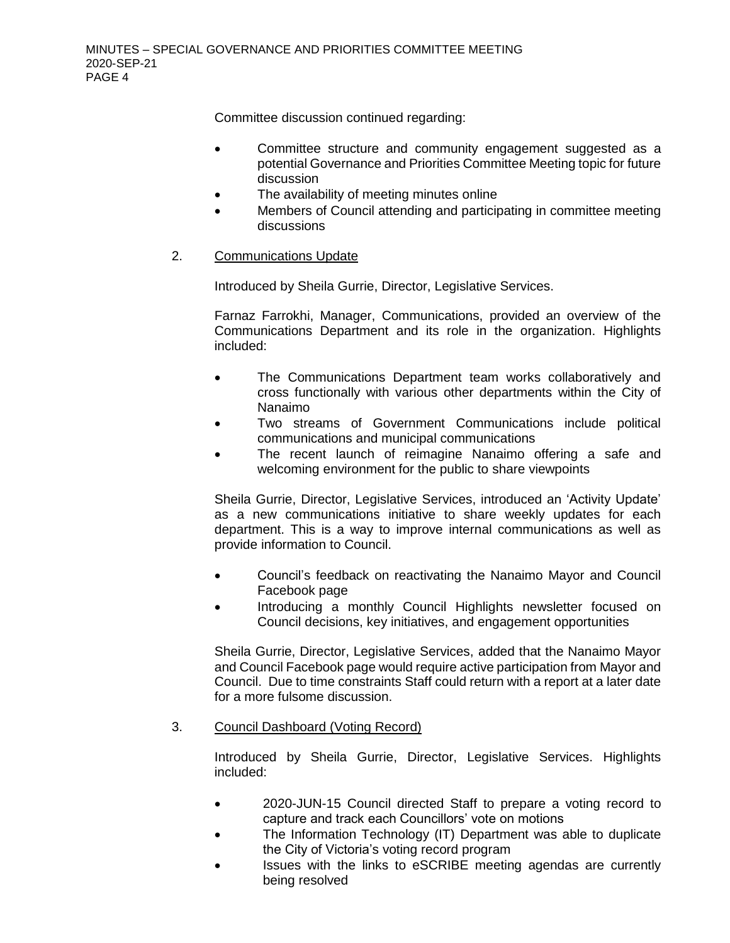Committee discussion continued regarding:

- Committee structure and community engagement suggested as a potential Governance and Priorities Committee Meeting topic for future discussion
- The availability of meeting minutes online
- Members of Council attending and participating in committee meeting discussions
- 2. Communications Update

Introduced by Sheila Gurrie, Director, Legislative Services.

Farnaz Farrokhi, Manager, Communications, provided an overview of the Communications Department and its role in the organization. Highlights included:

- The Communications Department team works collaboratively and cross functionally with various other departments within the City of Nanaimo
- Two streams of Government Communications include political communications and municipal communications
- The recent launch of reimagine Nanaimo offering a safe and welcoming environment for the public to share viewpoints

Sheila Gurrie, Director, Legislative Services, introduced an 'Activity Update' as a new communications initiative to share weekly updates for each department. This is a way to improve internal communications as well as provide information to Council.

- Council's feedback on reactivating the Nanaimo Mayor and Council Facebook page
- Introducing a monthly Council Highlights newsletter focused on Council decisions, key initiatives, and engagement opportunities

Sheila Gurrie, Director, Legislative Services, added that the Nanaimo Mayor and Council Facebook page would require active participation from Mayor and Council. Due to time constraints Staff could return with a report at a later date for a more fulsome discussion.

# 3. Council Dashboard (Voting Record)

Introduced by Sheila Gurrie, Director, Legislative Services. Highlights included:

- 2020-JUN-15 Council directed Staff to prepare a voting record to capture and track each Councillors' vote on motions
- The Information Technology (IT) Department was able to duplicate the City of Victoria's voting record program
- Issues with the links to eSCRIBE meeting agendas are currently being resolved